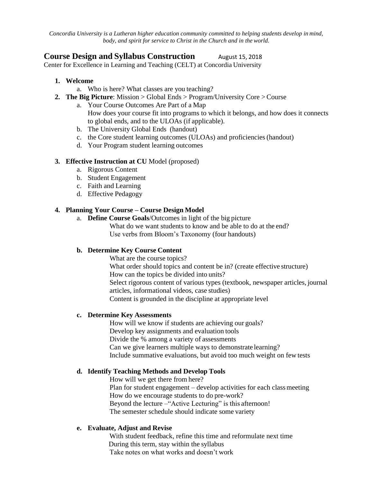*Concordia University is a Lutheran higher education community committed to helping students develop in mind, body, and spirit for service to Christ in the Church and in the world.*

# **Course Design and Syllabus Construction** August 15, 2018

Center for Excellence in Learning and Teaching (CELT) at Concordia University

- **1. Welcome**
	- a. Who is here? What classes are you teaching?
- **2. The Big Picture**: Mission > Global Ends > Program/University Core >Course
	- a. Your Course Outcomes Are Part of a Map How does your course fit into programs to which it belongs, and how does it connects to global ends, and to the ULOAs (if applicable).
	- b. The University Global Ends (handout)
	- c. the Core student learning outcomes (ULOAs) and proficiencies(handout)
	- d. Your Program student learning outcomes

#### **3. Effective Instruction at CU** Model (proposed)

- a. Rigorous Content
- b. Student Engagement
- c. Faith and Learning
- d. Effective Pedagogy

### **4. Planning Your Course – Course Design Model**

a. **Define Course Goals**/Outcomes in light of the big picture What do we want students to know and be able to do at the end? Use verbs from Bloom's Taxonomy (four handouts)

### **b. Determine Key Course Content**

What are the course topics?

What order should topics and content be in? (create effective structure) How can the topics be divided into units? Select rigorous content of various types (textbook, newspaper articles, journal articles, informational videos, case studies) Content is grounded in the discipline at appropriate level

#### **c. Determine Key Assessments**

How will we know if students are achieving our goals? Develop key assignments and evaluation tools Divide the % among a variety of assessments Can we give learners multiple ways to demonstrate learning? Include summative evaluations, but avoid too much weight on few tests

### **d. Identify Teaching Methods and Develop Tools**

How will we get there from here? Plan for student engagement  $-$  develop activities for each class meeting How do we encourage students to do pre-work? Beyond the lecture – "Active Lecturing" is this afternoon! The semester schedule should indicate some variety

### **e. Evaluate, Adjust and Revise**

With student feedback, refine this time and reformulate next time During this term, stay within the syllabus Take notes on what works and doesn't work